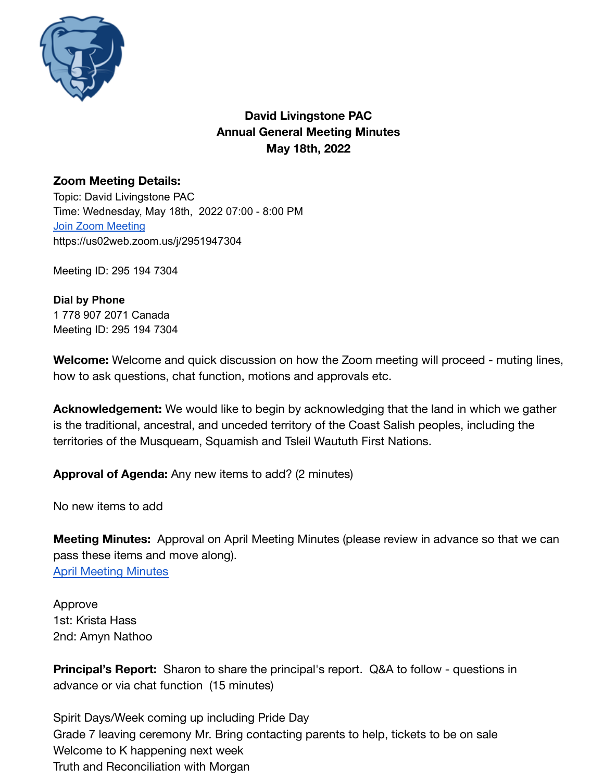

# **David Livingstone PAC Annual General Meeting Minutes May 18th, 2022**

## **Zoom Meeting Details:**

Topic: David Livingstone PAC Time: Wednesday, May 18th, 2022 07:00 - 8:00 PM Join Zoom [Meeting](https://zoom.us/join) https://us02web.zoom.us/j/2951947304

Meeting ID: 295 194 7304

**Dial by Phone** 1 778 907 2071 Canada Meeting ID: 295 194 7304

**Welcome:** Welcome and quick discussion on how the Zoom meeting will proceed - muting lines, how to ask questions, chat function, motions and approvals etc.

**Acknowledgement:** We would like to begin by acknowledging that the land in which we gather is the traditional, ancestral, and unceded territory of the Coast Salish peoples, including the territories of the Musqueam, Squamish and Tsleil Waututh First Nations.

**Approval of Agenda:** Any new items to add? (2 minutes)

No new items to add

**Meeting Minutes:** Approval on April Meeting Minutes (please review in advance so that we can pass these items and move along). [April Meeting Minutes](https://docs.google.com/document/d/1rIb6pYGemC9tIpq_kPz0_igmlaFQNYwF3nwyCg6TU8s/edit?usp=sharing)

Approve 1st: Krista Hass 2nd: Amyn Nathoo

**Principal's Report:** Sharon to share the principal's report. Q&A to follow - questions in advance or via chat function (15 minutes)

Spirit Days/Week coming up including Pride Day Grade 7 leaving ceremony Mr. Bring contacting parents to help, tickets to be on sale Welcome to K happening next week Truth and Reconciliation with Morgan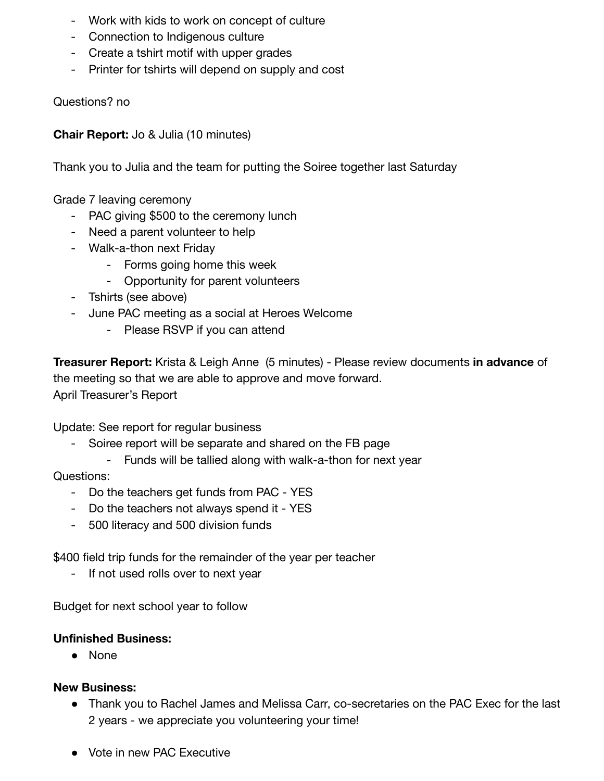- Work with kids to work on concept of culture
- Connection to Indigenous culture
- Create a tshirt motif with upper grades
- Printer for tshirts will depend on supply and cost

Questions? no

**Chair Report:** Jo & Julia (10 minutes)

Thank you to Julia and the team for putting the Soiree together last Saturday

Grade 7 leaving ceremony

- PAC giving \$500 to the ceremony lunch
- Need a parent volunteer to help
- Walk-a-thon next Friday
	- Forms going home this week
	- Opportunity for parent volunteers
- Tshirts (see above)
- June PAC meeting as a social at Heroes Welcome
	- Please RSVP if you can attend

**Treasurer Report:** Krista & Leigh Anne (5 minutes) - Please review documents **in advance** of the meeting so that we are able to approve and move forward. April Treasurer's Report

Update: See report for regular business

- Soiree report will be separate and shared on the FB page
	- Funds will be tallied along with walk-a-thon for next year

Questions:

- Do the teachers get funds from PAC YES
- Do the teachers not always spend it YES
- 500 literacy and 500 division funds

\$400 field trip funds for the remainder of the year per teacher

- If not used rolls over to next year

Budget for next school year to follow

### **Unfinished Business:**

● None

### **New Business:**

- Thank you to Rachel James and Melissa Carr, co-secretaries on the PAC Exec for the last 2 years - we appreciate you volunteering your time!
- Vote in new PAC Executive